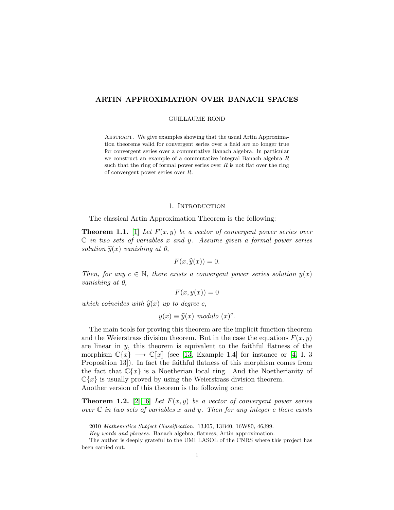## ARTIN APPROXIMATION OVER BANACH SPACES

#### GUILLAUME ROND

ABSTRACT. We give examples showing that the usual Artin Approximation theorems valid for convergent series over a field are no longer true for convergent series over a commutative Banach algebra. In particular we construct an example of a commutative integral Banach algebra R such that the ring of formal power series over  $R$  is not flat over the ring of convergent power series over R.

## 1. INTRODUCTION

The classical Artin Approximation Theorem is the following:

<span id="page-0-0"></span>**Theorem 1.1.** [\[1\]](#page-10-0) Let  $F(x, y)$  be a vector of convergent power series over  $\mathbb C$  in two sets of variables x and y. Assume given a formal power series solution  $\hat{y}(x)$  vanishing at 0,

$$
F(x,\hat{y}(x))=0.
$$

Then, for any  $c \in \mathbb{N}$ , there exists a convergent power series solution  $y(x)$ vanishing at 0,

$$
F(x, y(x)) = 0
$$

which coincides with  $\widehat{y}(x)$  up to degree c,

$$
y(x) \equiv \hat{y}(x) \text{ modulo } (x)^c.
$$

The main tools for proving this theorem are the implicit function theorem and the Weierstrass division theorem. But in the case the equations  $F(x, y)$ are linear in  $y$ , this theorem is equivalent to the faithful flatness of the morphism  $\mathbb{C}\{x\} \longrightarrow \mathbb{C}\|x\|$  (see [\[13,](#page-11-0) Example 1.4] for instance or [\[4,](#page-10-1) I. 3] Proposition 13]). In fact the faithful flatness of this morphism comes from the fact that  $\mathbb{C}\{x\}$  is a Noetherian local ring. And the Noetherianity of  $\mathbb{C}\{x\}$  is usually proved by using the Weierstrass division theorem. Another version of this theorem is the following one:

<span id="page-0-1"></span>**Theorem 1.2.** [\[2\]](#page-10-2)[\[16\]](#page-11-1) Let  $F(x, y)$  be a vector of convergent power series over  $\mathbb C$  in two sets of variables x and y. Then for any integer c there exists

<sup>2010</sup> Mathematics Subject Classification. 13J05, 13B40, 16W80, 46J99.

Key words and phrases. Banach algebra, flatness, Artin approximation.

The author is deeply grateful to the UMI LASOL of the CNRS where this project has been carried out.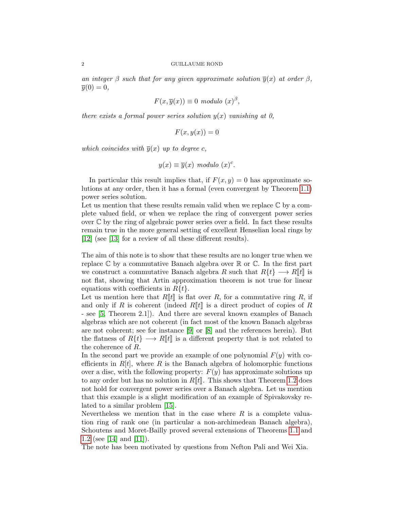an integer  $\beta$  such that for any given approximate solution  $\overline{y}(x)$  at order  $\beta$ ,  $\overline{u}(0) = 0.$ 

$$
F(x,\overline{y}(x)) \equiv 0 \text{ modulo } (x)^{\beta},
$$

there exists a formal power series solution  $y(x)$  vanishing at 0,

$$
F(x, y(x)) = 0
$$

which coincides with  $\overline{y}(x)$  up to degree c,

$$
y(x) \equiv \overline{y}(x) \text{ modulo } (x)^c.
$$

In particular this result implies that, if  $F(x, y) = 0$  has approximate solutions at any order, then it has a formal (even convergent by Theorem [1.1\)](#page-0-0) power series solution.

Let us mention that these results remain valid when we replace  $\mathbb C$  by a complete valued field, or when we replace the ring of convergent power series over  $\mathbb C$  by the ring of algebraic power series over a field. In fact these results remain true in the more general setting of excellent Henselian local rings by [\[12\]](#page-10-3) (see [\[13\]](#page-11-0) for a review of all these different results).

The aim of this note is to show that these results are no longer true when we replace  $\mathbb C$  by a commutative Banach algebra over  $\mathbb R$  or  $\mathbb C$ . In the first part we construct a commutative Banach algebra R such that  $R\{t\} \longrightarrow R[[t]]$  is not flat, showing that Artin approximation theorem is not true for linear equations with coefficients in  $R\{t\}$ .

Let us mention here that  $R[[t]]$  is flat over R, for a commutative ring R, if and only if R is coherent (indeed  $R[[t]]$  is a direct product of copies of R - see [\[5,](#page-10-4) Theorem 2.1]). And there are several known examples of Banach algebras which are not coherent (in fact most of the known Banach algebras are not coherent; see for instance [\[9\]](#page-10-5) or [\[8\]](#page-10-6) and the references herein). But the flatness of  $R\{t\} \longrightarrow R[\![t]\!]$  is a different property that is not related to the coherence of R.

In the second part we provide an example of one polynomial  $F(y)$  with coefficients in  $R[t]$ , where R is the Banach algebra of holomorphic functions over a disc, with the following property:  $F(y)$  has approximate solutions up to any order but has no solution in  $R[[t]]$ . This shows that Theorem [1.2](#page-0-1) does not hold for convergent power series over a Banach algebra. Let us mention that this example is a slight modification of an example of Spivakovsky related to a similar problem [\[15\]](#page-11-2).

Nevertheless we mention that in the case where  $R$  is a complete valuation ring of rank one (in particular a non-archimedean Banach algebra), Schoutens and Moret-Bailly proved several extensions of Theorems [1.1](#page-0-0) and [1.2](#page-0-1) (see [\[14\]](#page-11-3) and [\[11\]](#page-10-7)).

The note has been motivated by questions from Nefton Pali and Wei Xia.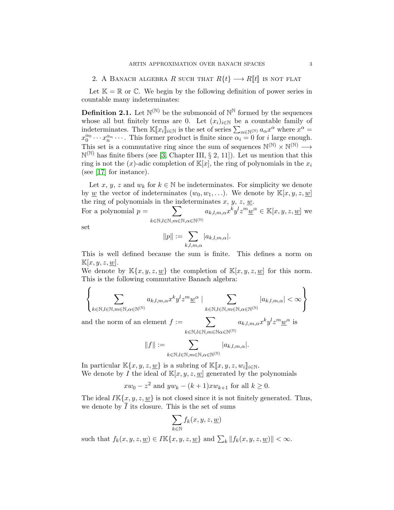2. A BANACH ALGEBRA R SUCH THAT  $R\{t\} \longrightarrow R[[t]]$  is not flat

Let  $\mathbb{K} = \mathbb{R}$  or  $\mathbb{C}$ . We begin by the following definition of power series in countable many indeterminates:

**Definition 2.1.** Let  $\mathbb{N}^{(\mathbb{N})}$  be the submonoid of  $\mathbb{N}^{\mathbb{N}}$  formed by the sequences whose all but finitely terms are 0. Let  $(x_i)_{i\in\mathbb{N}}$  be a countable family of indeterminates. Then  $\mathbb{K}[x_i]_{i\in\mathbb{N}}$  is the set of series  $\sum_{\alpha\in\mathbb{N}^{(\mathbb{N})}} a_{\alpha} x^{\alpha}$  where  $x^{\alpha} =$ <br> $x^{\alpha_0} \dots x^{\alpha_n}$  is former product is finite since  $\alpha_i = 0$  for a large enough  $x_0^{\alpha_0} \cdots x_n^{\alpha_n} \cdots$ . This former product is finite since  $\alpha_i = 0$  for *i* large enough. This set is a commutative ring since the sum of sequences  $\mathbb{N}^{(\mathbb{N})} \times \mathbb{N}^{(\mathbb{N})} \longrightarrow$  $\mathbb{N}^{(\mathbb{N})}$  has finite fibers (see [\[3,](#page-10-8) Chapter III, § 2, 11]). Let us mention that this ring is not the  $(x)$ -adic completion of  $\mathbb{K}[x]$ , the ring of polynomials in the  $x_i$ (see [\[17\]](#page-11-4) for instance).

Let x, y, z and  $w_k$  for  $k \in \mathbb{N}$  be indeterminates. For simplicity we denote by <u>w</u> the vector of indeterminates  $(w_0, w_1, \ldots)$ . We denote by  $\mathbb{K}[x, y, z, \underline{w}]$ the ring of polynomials in the indeterminates  $x, y, z, \underline{w}$ .

For a polynomial  $p = \sum$  $k\in\mathbb{N},l\in\mathbb{N},m\in\mathbb{N},\alpha\in\mathbb{N}^{(\mathbb{N})}$  $a_{k,l,m,\alpha}x^ky^lz^m\underline{w}^{\alpha} \in \mathbb{K}[x,y,z,\underline{w}]$  we

set

$$
||p|| := \sum_{k,l,m,\alpha} |a_{k,l,m,\alpha}|.
$$

This is well defined because the sum is finite. This defines a norm on  $\mathbb{K}[x, y, z, \underline{w}].$ 

We denote by  $\mathbb{K}\{x, y, z, w\}$  the completion of  $\mathbb{K}[x, y, z, w]$  for this norm. This is the following commutative Banach algebra:

$$
\left\{\sum_{k\in\mathbb{N},l\in\mathbb{N},m\in\mathbb{N},\alpha\in\mathbb{N}^{(\mathbb{N})}}a_{k,l,m,\alpha}x^ky^lz^m\underline{w}^{\alpha}\;|\;\sum_{k\in\mathbb{N},l\in\mathbb{N},m\in\mathbb{N},\alpha\in\mathbb{N}^{(\mathbb{N})}}|a_{k,l,m,\alpha}|<\infty\right\}
$$

and the norm of an element  $f := \sum$  $k\in\mathbb{N},l\in\mathbb{N},m\in\mathbb{N}$ a $\in$ N $^{(\mathbb{N})}$  $a_{k,l,m,\alpha}x^ky^lz^m\underline{w}^{\alpha}$  is

$$
\|f\|:=\sum_{k\in\mathbb{N},l\in\mathbb{N},m\in\mathbb{N},\alpha\in\mathbb{N}^{(\mathbb{N})}}|a_{k,l,m,\alpha}|.
$$

In particular  $\mathbb{K}\{x, y, z, \underline{w}\}$  is a subring of  $\mathbb{K}\[x, y, z, w_i\]_{i \in \mathbb{N}}$ . We denote by I the ideal of  $\mathbb{K}[x, y, z, w]$  generated by the polynomials

$$
xw_0 - z^2
$$
 and  $yw_k - (k+1)xw_{k+1}$  for all  $k \ge 0$ .

The ideal  $I\mathbb{K}\{x, y, z, \underline{w}\}$  is not closed since it is not finitely generated. Thus, we denote by  $I$  its closure. This is the set of sums

$$
\sum_{k \in \mathbb{N}} f_k(x, y, z, \underline{w})
$$

such that  $f_k(x, y, z, \underline{w}) \in I\mathbb{K}\{x, y, z, \underline{w}\}$  and  $\sum_k ||f_k(x, y, z, \underline{w})|| < \infty$ .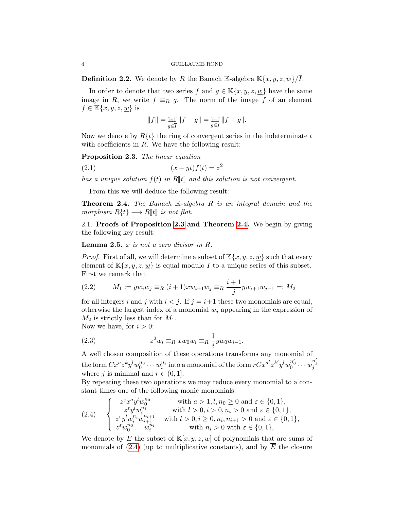**Definition 2.2.** We denote by R the Banach K-algebra  $\mathbb{K}\{x, y, z, \underline{w}\}/\overline{I}$ .

In order to denote that two series f and  $g \in \mathbb{K}\{x, y, z, w\}$  have the same image in R, we write  $f \equiv_R q$ . The norm of the image  $\overline{f}$  of an element  $f \in \mathbb{K}\{x, y, z, \underline{w}\}\$ is

$$
\|\overline{f}\| = \inf_{g \in \overline{I}} \|f + g\| = \inf_{g \in I} \|f + g\|.
$$

Now we denote by  $R\{t\}$  the ring of convergent series in the indeterminate t with coefficients in  $R$ . We have the following result:

<span id="page-3-0"></span>Proposition 2.3. The linear equation

$$
(2.1)\qquad \qquad (x - yt)f(t) = z^2
$$

has a unique solution  $f(t)$  in R||t|| and this solution is not convergent.

From this we will deduce the following result:

<span id="page-3-1"></span>**Theorem 2.4.** The Banach K-algebra R is an integral domain and the morphism  $R\{t\} \longrightarrow R[\![t]\!]$  is not flat.

2.1. Proofs of Proposition [2.3](#page-3-0) and Theorem [2.4.](#page-3-1) We begin by giving the following key result:

<span id="page-3-5"></span>**Lemma 2.5.**  $x$  is not a zero divisor in  $R$ .

*Proof.* First of all, we will determine a subset of  $\mathbb{K}\{x, y, z, \underline{w}\}$  such that every element of  $\mathbb{K}\{x,y,z,\underline{w}\}$  is equal modulo  $\overline{I}$  to a unique series of this subset. First we remark that

<span id="page-3-3"></span>(2.2) 
$$
M_1 := yw_iw_j \equiv_R (i+1)xw_{i+1}w_j \equiv_R \frac{i+1}{j}yw_{i+1}w_{j-1} =: M_2
$$

for all integers i and j with  $i < j$ . If  $j = i+1$  these two monomials are equal, otherwise the largest index of a monomial  $w_i$  appearing in the expression of  $M_2$  is strictly less than for  $M_1$ .

Now we have, for  $i > 0$ :

<span id="page-3-4"></span>(2.3) 
$$
z^2 w_i \equiv_R x w_0 w_i \equiv_R \frac{1}{i} y w_0 w_{i-1}.
$$

A well chosen composition of these operations transforms any monomial of  $\text{the form } C x^a z^k y^l w_0^{n_0} \cdots w_i^{n_i} \text{ into a monomial of the form } r C x^{a'} z^{k'} y^l w_0^{n_0'} \cdots w_j^{n_j'}$ where j is minimal and  $r \in (0, 1]$ .

By repeating these two operations we may reduce every monomial to a constant times one of the following monic monomials:

<span id="page-3-2"></span>
$$
(2.4) \quad \left\{ \begin{array}{ll} z^{\varepsilon} x^a y^l w_0^{n_0} & \text{with } a > 1, l, n_0 \ge 0 \text{ and } \varepsilon \in \{0, 1\}, \\ z^{\varepsilon} y^l w_i^{n_i} & \text{with } l > 0, i > 0, n_i > 0 \text{ and } \varepsilon \in \{0, 1\}, \\ z^{\varepsilon} y^l w_i^{n_i} w_{i+1}^{n_{i+1}} & \text{with } l > 0, i \ge 0, n_i, n_{i+1} > 0 \text{ and } \varepsilon \in \{0, 1\}, \\ z^{\varepsilon} w_0^{n_0} \dots w_i^{n_i} & \text{with } n_i > 0 \text{ with } \varepsilon \in \{0, 1\}, \end{array} \right.
$$

We denote by E the subset of  $\mathbb{K}[x, y, z, w]$  of polynomials that are sums of monomials of [\(2.4\)](#page-3-2) (up to multiplicative constants), and by  $\overline{E}$  the closure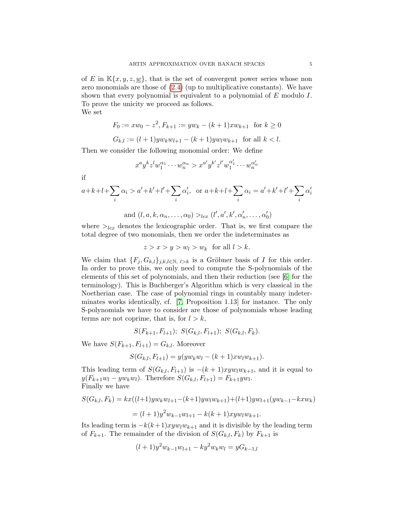of E in  $\mathbb{K}\{x, y, z, \underline{w}\}\,$ , that is the set of convergent power series whose non zero monomials are those of [\(2.4\)](#page-3-2) (up to multiplicative constants). We have shown that every polynomial is equivalent to a polynomial of E modulo I. To prove the unicity we proceed as follows.

We set

$$
F_0 := xw_0 - z^2, F_{k+1} := yw_k - (k+1)xw_{k+1} \text{ for } k \ge 0
$$
  

$$
G_{k,l} := (l+1)yw_kw_{l+1} - (k+1)yw_lw_{k+1} \text{ for all } k < l.
$$

Then we consider the following monomial order: We define

$$
x^a y^k z^l w_1^{\alpha_1} \cdots w_n^{\alpha_n} > x^{a'} y^{k'} z^{l'} w_1^{\alpha'_1} \cdots w_n^{\alpha'_n}
$$

if

$$
a+k+l+\sum_{i} \alpha_{i} > a'+k'+l'+\sum_{i} \alpha'_{i}, \text{ or } a+k+l+\sum_{i} \alpha_{i} = a'+k'+l'+\sum_{i} \alpha'_{i}
$$
  
and  $(l, a, k, \alpha_{n}, \dots, \alpha_{0}) >_{lex} (l', a', k', \alpha'_{n}, \dots, \alpha'_{0})$ 

where  $>_{lex}$  denotes the lexicographic order. That is, we first compare the total degree of two monomials, then we order the indeterminates as

$$
z > x > y > w_l > w_k \text{ for all } l > k.
$$

We claim that  $\{F_j, G_{k,l}\}_{j,k,l\in\mathbb{N}, l>k}$  is a Gröbner basis of I for this order. In order to prove this, we only need to compute the S-polynomials of the elements of this set of polynomials, and then their reduction (see [\[6\]](#page-10-9) for the terminology). This is Buchberger's Algorithm which is very classical in the Noetherian case. The case of polynomial rings in countably many indeterminates works identically, cf. [\[7,](#page-10-10) Proposition 1.13] for instance. The only S-polynomials we have to consider are those of polynomials whose leading terms are not coprime, that is, for  $l > k$ ,

$$
S(F_{k+1}, F_{l+1}); S(G_{k,l}, F_{l+1}); S(G_{k,l}, F_k).
$$

We have  $S(F_{k+1}, F_{l+1}) = G_{k,l}$ . Moreover

$$
S(G_{k,l}, F_{l+1}) = y(yw_kw_l - (k+1)xw_lw_{k+1}).
$$

This leading term of  $S(G_{k,l}, F_{l+1})$  is  $-(k+1)xyw_lw_{k+1}$ , and it is equal to  $y(F_{k+1}w_l - yw_kw_l)$ . Therefore  $S(G_{k,l}, F_{l+1}) = F_{k+1}yw_l$ . Finally we have

$$
S(G_{k,l}, F_k) = kx((l+1)yw_kw_{l+1} - (k+1)yw_lw_{k+1}) + (l+1)yw_{l+1}(yw_{k-1} - kxw_k)
$$
  
=  $(l+1)y^2w_{k-1}w_{l+1} - k(k+1)xyw_lw_{k+1}.$ 

Its leading term is  $-k(k+1)xyw_lw_{k+1}$  and it is divisible by the leading term of  $F_{k+1}$ . The remainder of the division of  $S(G_{k,l}, F_k)$  by  $F_{k+1}$  is

$$
(l+1)y^{2}w_{k-1}w_{l+1} - ky^{2}w_{k}w_{l} = yG_{k-1,l}
$$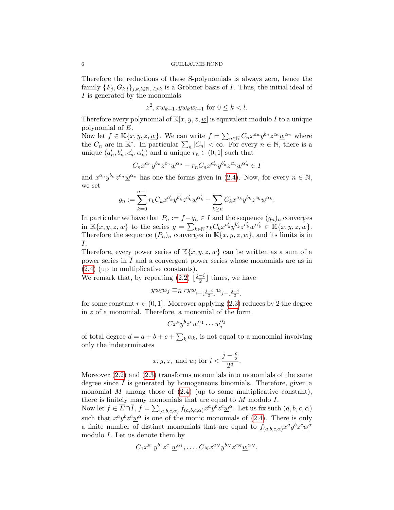Therefore the reductions of these S-polynomials is always zero, hence the family  $\{F_i, G_{k,l}\}_{i,k,l \in \mathbb{N}, l > k}$  is a Gröbner basis of I. Thus, the initial ideal of I is generated by the monomials

$$
z^2
$$
,  $xw_{k+1}$ ,  $yw_kw_{l+1}$  for  $0 \le k < l$ .

Therefore every polynomial of  $\mathbb{K}[x, y, z, \underline{w}]$  is equivalent modulo I to a unique polynomial of E.

Now let  $f \in \mathbb{K}\lbrace x, y, z, \underline{w}\rbrace$ . We can write  $f = \sum_{n \in \mathbb{N}} C_n x^{a_n} y^{b_n} z^{c_n} \underline{w}^{\alpha_n}$  where the  $C_n$  are in  $\mathbb{K}^*$ . In particular  $\sum_n |C_n| < \infty$ . For every  $n \in \mathbb{N}$ , there is a unique  $(a'_n, b'_n, c'_n, \alpha'_n)$  and a unique  $r_n \in (0, 1]$  such that

$$
C_n x^{a_n} y^{b_n} z^{c_n} \underline{w}^{\alpha_n} - r_n C_n x^{a'_n} y^{b'_n} z^{c'_n} \underline{w}^{\alpha'_n} \in I
$$

and  $x^{a_n}y^{b_n}z^{c_n}\underline{w}^{\alpha_n}$  has one the forms given in [\(2.4\)](#page-3-2). Now, for every  $n \in \mathbb{N}$ , we set

$$
g_n := \sum_{k=0}^{n-1} r_k C_k x^{a'_k} y^{b'_k} z^{c'_k} \underline{w}^{\alpha'_k} + \sum_{k \ge n} C_k x^{a_k} y^{b_k} z^{c_k} \underline{w}^{\alpha_k}.
$$

In particular we have that  $P_n := f - g_n \in I$  and the sequence  $(g_n)_n$  converges in  $\mathbb{K}\lbrace x, y, z, \underline{w}\rbrace$  to the series  $g = \sum_{k \in \mathbb{N}} r_k C_k x^{a'_k} y^{b'_k} z^{c'_k} \underline{w}^{a'_k} \in \mathbb{K}\lbrace x, y, z, \underline{w}\rbrace$ . Therefore the sequence  $(P_n)_n$  converges in  $\mathbb{K}\lbrace x, y, z, \underline{w}\rbrace$ , and its limits is in I.

Therefore, every power series of  $\mathbb{K}\{x, y, z, w\}$  can be written as a sum of a power series in  $\overline{I}$  and a convergent power series whose monomials are as in [\(2.4\)](#page-3-2) (up to multiplicative constants).

We remark that, by repeating  $(2.2)$   $\frac{\overline{j-i}}{2}$  $\frac{-i}{2}$  times, we have

$$
yw_iw_j \equiv_R ryw_{i+\lfloor\frac{j-i}{2}\rfloor}w_{j-\lfloor\frac{j-i}{2}\rfloor}
$$

for some constant  $r \in (0, 1]$ . Moreover applying [\(2.3\)](#page-3-4) reduces by 2 the degree in z of a monomial. Therefore, a monomial of the form

$$
Cx^ay^bz^cw_1^{\alpha_1}\cdots w_j^{\alpha_j}
$$

of total degree  $d = a + b + c + \sum_{k} \alpha_k$ , is not equal to a monomial involving only the indeterminates

$$
x,y,z, \text{ and } w_i \text{ for } i < \frac{j-\frac{c}{2}}{2^d}.
$$

Moreover  $(2.2)$  and  $(2.3)$  transforms monomials into monomials of the same degree since  $I$  is generated by homogeneous binomials. Therefore, given a monomial M among those of  $(2.4)$  (up to some multiplicative constant), there is finitely many monomials that are equal to  $M$  modulo  $I$ .

Now let  $f \in \overline{E} \cap \overline{I}$ ,  $f = \sum_{(a,b,c,\alpha)} f_{(a,b,c,\alpha)} x^a y^b z^c \underline{w}^\alpha$ . Let us fix such  $(a, b, c, \alpha)$ such that  $x^a y^b z^c \underline{w}^\alpha$  is one of the monic monomials of [\(2.4\)](#page-3-2). There is only a finite number of distinct monomials that are equal to  $f_{(a,b,c,\alpha)}x^a y^b z^c \underline{w}^{\alpha}$ modulo I. Let us denote them by

$$
C_1x^{a_1}y^{b_1}z^{c_1}\underline{w}^{\alpha_1},\ldots,C_Nx^{a_N}y^{b_N}z^{c_N}\underline{w}^{\alpha_N}.
$$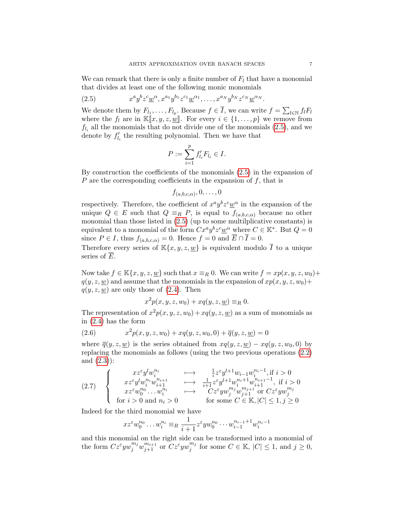We can remark that there is only a finite number of  $F_l$  that have a monomial that divides at least one of the following monic monomials

<span id="page-6-0"></span>(2.5) 
$$
x^a y^b z^c \underline{w}^\alpha, x^{a_1} y^{b_1} z^{c_1} \underline{w}^{\alpha_1}, \dots, x^{a_N} y^{b_N} z^{c_N} \underline{w}^{\alpha_N}.
$$

We denote them by  $F_{l_1}, \ldots, F_{l_p}$ . Because  $f \in \overline{I}$ , we can write  $f = \sum_{l \in \mathbb{N}} f_l F_l$ where the  $f_l$  are in  $\mathbb{K}[x, y, z, \underline{w}]$ . For every  $i \in \{1, \ldots, p\}$  we remove from  $f_{l_i}$  all the monomials that do not divide one of the monomials  $(2.5)$ , and we denote by  $f'_{l_i}$  the resulting polynomial. Then we have that

$$
P := \sum_{i=1}^p f'_{l_i} F_{l_i} \in I.
$$

By construction the coefficients of the monomials [\(2.5\)](#page-6-0) in the expansion of P are the corresponding coefficients in the expansion of  $f$ , that is

$$
f_{(a,b,c,\alpha)},0,\ldots,0
$$

respectively. Therefore, the coefficient of  $x^a y^b z^c \underline{w}^\alpha$  in the expansion of the unique  $Q \in E$  such that  $Q \equiv_R P$ , is equal to  $f_{(a,b,c,\alpha)}$  because no other monomial than those listed in [\(2.5\)](#page-6-0) (up to some multilplicative constants) is equivalent to a monomial of the form  $Cx^a y^b z^c \underline{w}^\alpha$  where  $C \in \mathbb{K}^*$ . But  $Q = 0$ since  $P \in I$ , thus  $f_{(a,b,c,\alpha)} = 0$ . Hence  $f = 0$  and  $\overline{E} \cap \overline{I} = 0$ .

Therefore every series of  $\mathbb{K}\lbrace x, y, z, \underline{w}\rbrace$  is equivalent modulo  $\overline{I}$  to a unique series of E.

Now take  $f \in \mathbb{K}\{x, y, z, w\}$  such that  $x \equiv_R 0$ . We can write  $f = xp(x, y, z, w_0) +$  $q(y, z, w)$  and assume that the monomials in the expansion of  $xp(x, y, z, w_0)$ +  $q(y, z, \underline{w})$  are only those of [\(2.4\)](#page-3-2). Then

<span id="page-6-2"></span>
$$
x^{2}p(x, y, z, w_{0}) + xq(y, z, \underline{w}) \equiv_{R} 0.
$$

The representation of  $x^2p(x, y, z, w_0) + xq(y, z, \underline{w})$  as a sum of monomials as in [\(2.4\)](#page-3-2) has the form

(2.6) 
$$
x^{2}p(x, y, z, w_{0}) + xq(y, z, w_{0}, 0) + \overline{q}(y, z, \underline{w}) = 0
$$

where  $\overline{q}(y, z, w)$  is the series obtained from  $xq(y, z, w) - xq(y, z, w_0, 0)$  by replacing the monomials as follows (using the two previous operations [\(2.2\)](#page-3-3) and [\(2.3\)](#page-3-4)):

<span id="page-6-1"></span>
$$
(2.7) \quad \left\{ \begin{array}{c} xz^{\varepsilon}y^{l}w_{i}^{n_{i}} & \longmapsto & \frac{1}{i}z^{\varepsilon}y^{l+1}w_{i-1}w_{i}^{n_{i}-1}, \text{if } i>0\\ xz^{\varepsilon}y^{l}w_{i}^{n_{i}}w_{i+1}^{n_{i+1}} & \longmapsto & \frac{1}{i+1}z^{\varepsilon}y^{l+1}w_{i}^{n_{i}+1}w_{i+1}^{n_{i+1}-1}, \text{ if } i>0\\ xz^{\varepsilon}w_{0}^{n_{0}}\ldots w_{i}^{n_{i}} & \longmapsto & Cz^{\varepsilon}yw_{j}^{m_{j}}w_{j+1}^{m_{j+1}} \text{ or } Cz^{\varepsilon}yw_{j}^{m_{j}} \\ \text{for } i>0 \text{ and } n_{i}>0 & \text{for some } C\in\mathbb{K}, |C|\leq 1, j\geq 0 \end{array} \right.
$$

Indeed for the third monomial we have

$$
xz^{\varepsilon}w_0^{n_0}\dots w_i^{n_i} \equiv_R \frac{1}{i+1}z^{\varepsilon}yw_0^{n_0}\dots w_{i-1}^{n_{i-1}+1}w_i^{n_i-1}
$$

and this monomial on the right side can be transformed into a monomial of the form  $Cz^{\varepsilon} yw_j^{m_j}w_{j+1}^{m_{i+1}}$  or  $Cz^{\varepsilon} yw_j^{m_j}$  $j^{m_j}$  for some  $C \in \mathbb{K}$ ,  $|C| \leq 1$ , and  $j \geq 0$ ,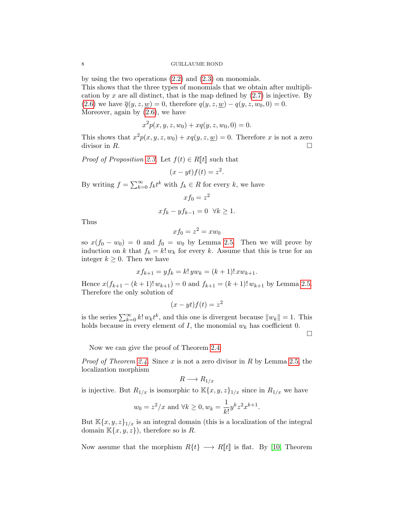by using the two operations [\(2.2\)](#page-3-3) and [\(2.3\)](#page-3-4) on monomials. This shows that the three types of monomials that we obtain after multiplication by x are all distinct, that is the map defined by  $(2.7)$  is injective. By [\(2.6\)](#page-6-2) we have  $\bar{q}(y, z, \underline{w}) = 0$ , therefore  $q(y, z, \underline{w}) - q(y, z, w_0, 0) = 0$ . Moreover, again by  $(2.6)$ , we have

$$
x^{2}p(x, y, z, w_{0}) + xq(y, z, w_{0}, 0) = 0.
$$

This shows that  $x^2p(x, y, z, w_0) + xq(y, z, \underline{w}) = 0$ . Therefore x is not a zero divisor in  $R$ .

*Proof of Proposition [2.3.](#page-3-0)* Let  $f(t) \in R[[t]]$  such that

$$
(x - yt)f(t) = z^2.
$$

By writing  $f = \sum_{k=0}^{\infty} f_k t^k$  with  $f_k \in R$  for every k, we have

$$
xf_0 = z^2
$$

$$
xf_k - yf_{k-1} = 0 \quad \forall k \ge 1.
$$

Thus

$$
xf_0 = z^2 = xw_0
$$

so  $x(f_0 - w_0) = 0$  and  $f_0 = w_0$  by Lemma [2.5.](#page-3-5) Then we will prove by induction on k that  $f_k = k! w_k$  for every k. Assume that this is true for an integer  $k \geq 0$ . Then we have

$$
xf_{k+1} = yf_k = k! \, yw_k = (k+1)! \, xw_{k+1}.
$$

Hence  $x(f_{k+1} - (k+1)! w_{k+1}) = 0$  and  $f_{k+1} = (k+1)! w_{k+1}$  by Lemma [2.5.](#page-3-5) Therefore the only solution of

$$
(x - yt)f(t) = z^2
$$

is the series  $\sum_{k=0}^{\infty} k! w_k t^k$ , and this one is divergent because  $||w_k|| = 1$ . This holds because in every element of  $I$ , the monomial  $w_k$  has coefficient 0.

 $\Box$ 

Now we can give the proof of Theorem [2.4:](#page-3-1)

*Proof of Theorem [2.4.](#page-3-1)* Since x is not a zero divisor in R by Lemma [2.5,](#page-3-5) the localization morphism

$$
R \longrightarrow R_{1/x}
$$

is injective. But  $R_{1/x}$  is isomorphic to  $\mathbb{K}\lbrace x, y, z\rbrace_{1/x}$  since in  $R_{1/x}$  we have

$$
w_0 = z^2/x
$$
 and  $\forall k \ge 0, w_k = \frac{1}{k!} y^k z^2 x^{k+1}$ .

But  $\mathbb{K}\{x,y,z\}_{1/x}$  is an integral domain (this is a localization of the integral domain  $\mathbb{K}\lbrace x,y,z\rbrace$ , therefore so is R.

Now assume that the morphism  $R\{t\} \longrightarrow R\llbracket t \rrbracket$  is flat. By [\[10,](#page-10-11) Theorem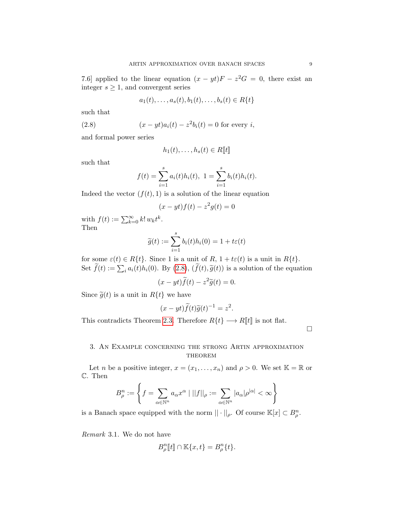7.6] applied to the linear equation  $(x - yt)F - z^2G = 0$ , there exist an integer  $s \geq 1$ , and convergent series

<span id="page-8-0"></span>
$$
a_1(t),..., a_s(t), b_1(t),..., b_s(t) \in R\{t\}
$$

such that

(2.8) 
$$
(x - yt)a_i(t) - z^2b_i(t) = 0
$$
 for every *i*,

and formal power series

$$
h_1(t),\ldots,h_s(t)\in R[\![t]\!]
$$

such that

$$
f(t) = \sum_{i=1}^{s} a_i(t)h_i(t), \ 1 = \sum_{i=1}^{s} b_i(t)h_i(t).
$$

Indeed the vector  $(f(t), 1)$  is a solution of the linear equation

$$
(x - yt)f(t) - z^2g(t) = 0
$$

with  $f(t) := \sum_{k=0}^{\infty} k! w_k t^k$ . Then

$$
\widetilde{g}(t) := \sum_{i=1}^{s} b_i(t)h_i(0) = 1 + t\varepsilon(t)
$$

for some  $\varepsilon(t) \in R\{t\}$ . Since 1 is a unit of R,  $1 + t\varepsilon(t)$  is a unit in  $R\{t\}$ . Set  $f(t) := \sum_i a_i(t)h_i(0)$ . By [\(2.8\)](#page-8-0),  $(f(t), \tilde{g}(t))$  is a solution of the equation

$$
(x - yt)\widetilde{f}(t) - z^2 \widetilde{g}(t) = 0.
$$

Since  $\tilde{g}(t)$  is a unit in  $R\{t\}$  we have

$$
(x - yt)\widetilde{f}(t)\widetilde{g}(t)^{-1} = z^2.
$$

This contradicts Theorem [2.3.](#page-3-0) Therefore  $R\{t\} \longrightarrow R[\![t]\!]$  is not flat.

 $\Box$ 

# 3. An Example concerning the strong Artin approximation **THEOREM**

Let *n* be a positive integer,  $x = (x_1, \ldots, x_n)$  and  $\rho > 0$ . We set  $\mathbb{K} = \mathbb{R}$  or C. Then

$$
B_{\rho}^{n} := \left\{ f = \sum_{\alpha \in \mathbb{N}^{n}} a_{\alpha} x^{\alpha} \mid ||f||_{\rho} := \sum_{\alpha \in \mathbb{N}^{n}} |a_{\alpha}| \rho^{|\alpha|} < \infty \right\}
$$

is a Banach space equipped with the norm  $|| \cdot ||_{\rho}$ . Of course  $\mathbb{K}[x] \subset B_{\rho}^n$ .

Remark 3.1. We do not have

$$
B_{\rho}^{n}[\![t]\!]\cap\mathbb{K}\{x,t\}=B_{\rho}^{n}\{t\}.
$$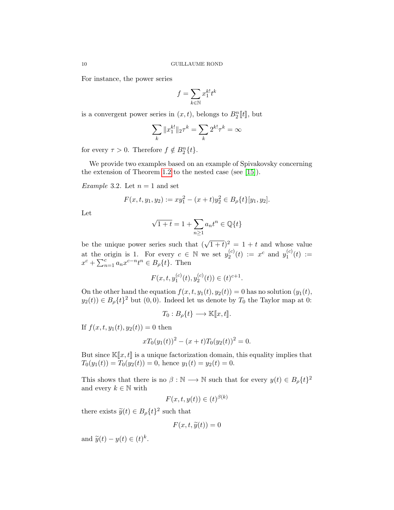For instance, the power series

$$
f=\sum_{k\in\mathbb{N}}x_1^{k!}t^k
$$

is a convergent power series in  $(x, t)$ , belongs to  $B_2^n[[t]]$ , but

$$
\sum_{k} \|x_1^{k!}\|_2 \tau^k = \sum_{k} 2^{k!} \tau^k = \infty
$$

for every  $\tau > 0$ . Therefore  $f \notin B_2^n\{t\}$ .

We provide two examples based on an example of Spivakovsky concerning the extension of Theorem [1.2](#page-0-1) to the nested case (see [\[15\]](#page-11-2)).

<span id="page-9-0"></span>*Example* 3.2. Let  $n = 1$  and set

$$
F(x, t, y_1, y_2) := xy_1^2 - (x + t)y_2^2 \in B_{\rho}\{t\}[y_1, y_2].
$$

Let

$$
\sqrt{1+t} = 1 + \sum_{n \ge 1} a_n t^n \in \mathbb{Q}\{t\}
$$

be the unique power series such that  $(\sqrt{1+t})^2 = 1 + t$  and whose value at the origin is 1. For every  $c \in \mathbb{N}$  we set  $y_2^{(c)}$  $y_2^{(c)}(t) := x^c$  and  $y_1^{(c)}$  $I_1^{(c)}(t) :=$  $x^c + \sum_{n=1}^c a_n x^{c-n} t^n \in B_\rho\{t\}.$  Then

$$
F(x, t, y_1^{(c)}(t), y_2^{(c)}(t)) \in (t)^{c+1}.
$$

On the other hand the equation  $f(x, t, y_1(t), y_2(t)) = 0$  has no solution  $(y_1(t),$  $y_2(t) \in B_\rho\{t\}^2$  but  $(0,0)$ . Indeed let us denote by  $T_0$  the Taylor map at 0:

$$
T_0: B_{\rho}\lbrace t \rbrace \longrightarrow \mathbb{K}[\![x, t]\!].
$$

If  $f(x, t, y_1(t), y_2(t)) = 0$  then

$$
xT_0(y_1(t))^2 - (x+t)T_0(y_2(t))^2 = 0.
$$

But since  $\mathbb{K}[x, t]$  is a unique factorization domain, this equality implies that  $T_0(y_1(t)) = T_0(y_2(t)) = 0$ , hence  $y_1(t) = y_2(t) = 0$ .

This shows that there is no  $\beta : \mathbb{N} \longrightarrow \mathbb{N}$  such that for every  $y(t) \in B_{\rho} \{t\}^2$ and every  $k \in \mathbb{N}$  with

$$
F(x, t, y(t)) \in (t)^{\beta(k)}
$$

there exists  $\widetilde{y}(t) \in B_{\rho}\lbrace t \rbrace^2$  such that

$$
F(x, t, \widetilde{y}(t)) = 0
$$

and  $\widetilde{y}(t) - y(t) \in (t)^k$ .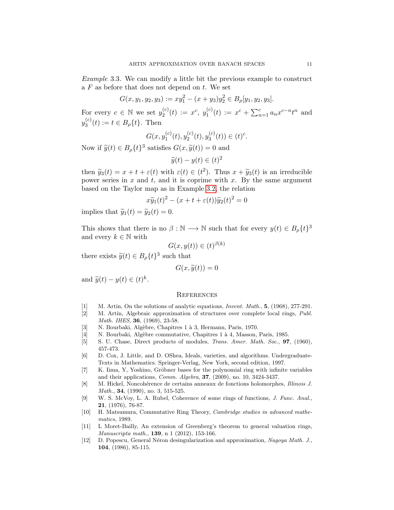Example 3.3. We can modify a little bit the previous example to construct a  $F$  as before that does not depend on  $t$ . We set

$$
G(x, y_1, y_2, y_3) := xy_1^2 - (x + y_3)y_2^2 \in B_\rho[y_1, y_2, y_3].
$$

For every  $c \in \mathbb{N}$  we set  $y_2^{(c)}$  $y_2^{(c)}(t) := x^c, y_1^{(c)}$  $f_1^{(c)}(t) := x^c + \sum_{n=1}^c a_n x^{c-n} t^n$  and  $y_3^{(c)}$  $S_3^{(c)}(t) := t \in B_\rho\{t\}.$  Then

$$
G(x, y_1^{(c)}(t), y_2^{(c)}(t), y_3^{(c)}(t)) \in (t)^c.
$$

Now if  $\widetilde{y}(t) \in B_{\rho}\lbrace t \rbrace^{3}$  satisfies  $G(x, \widetilde{y}(t)) = 0$  and

$$
\widetilde{y}(t) - y(t) \in (t)^2
$$

then  $\tilde{y}_3(t) = x + t + \varepsilon(t)$  with  $\varepsilon(t) \in (t^2)$ . Thus  $x + \tilde{y}_3(t)$  is an irreducible<br>power series in x and t and it is continue with x. By the same argument power series in  $x$  and  $t$ , and it is coprime with  $x$ . By the same argument based on the Taylor map as in Example [3.2,](#page-9-0) the relation

$$
x\widetilde{y}_1(t)^2 - (x+t+\varepsilon(t))\widetilde{y}_2(t)^2 = 0
$$

implies that  $\widetilde{y}_1(t) = \widetilde{y}_2(t) = 0.$ 

This shows that there is no  $\beta : \mathbb{N} \longrightarrow \mathbb{N}$  such that for every  $y(t) \in B_{\rho} \{t\}^3$ and every  $k \in \mathbb{N}$  with

$$
G(x, y(t)) \in (t)^{\beta(k)}
$$

there exists  $\widetilde{y}(t) \in B_{\rho}\lbrace t \rbrace^{3}$  such that

$$
G(x,\widetilde{y}(t))=0
$$

and  $\widetilde{y}(t) - y(t) \in (t)^k$ .

## **REFERENCES**

- <span id="page-10-0"></span>[1] M. Artin, On the solutions of analytic equations, Invent. Math., 5, (1968), 277-291.
- <span id="page-10-2"></span>[2] M. Artin, Algebraic approximation of structures over complete local rings, Publ. Math. IHES, **36**, (1969), 23-58.
- <span id="page-10-8"></span>[3] N. Bourbaki, Algèbre, Chapitres 1 à 3, Hermann, Paris, 1970.
- <span id="page-10-1"></span>[4] N. Bourbaki, Algèbre commutative, Chapitres 1 à 4, Masson, Paris, 1985.
- <span id="page-10-4"></span>[5] S. U. Chase, Direct products of modules, Trans. Amer. Math. Soc., 97, (1960), 457-473.
- <span id="page-10-9"></span>[6] D. Cox, J. Little, and D. OShea, Ideals, varieties, and algorithms. Undergraduate-Texts in Mathematics. Springer-Verlag, New York, second edition, 1997.
- <span id="page-10-10"></span>[7] K. Iima, Y, Yoshino, Gröbner bases for the polynomial ring with infinite variables and their applications, Comm. Algebra, 37, (2009), no. 10, 3424-3437.
- <span id="page-10-6"></span>[8] M. Hickel, Noncohérence de certains anneaux de fonctions holomorphes, *Illinois J. Math.*, **34**, (1990), no. 3, 515-525.
- <span id="page-10-5"></span>[9] W. S. McVoy, L. A. Rubel, Coherence of some rings of functions, J. Func. Anal., 21, (1976), 76-87.
- <span id="page-10-11"></span>[10] H. Matsumura, Commutative Ring Theory, Cambridge studies in advanced mathematics, 1989.
- <span id="page-10-7"></span>[11] L Moret-Bailly, An extension of Greenberg's theorem to general valuation rings, Manuscripta math., 139, n 1 (2012), 153-166.
- <span id="page-10-3"></span>[12] D. Popescu, General Néron desingularization and approximation, Nagoya Math. J., 104, (1986), 85-115.